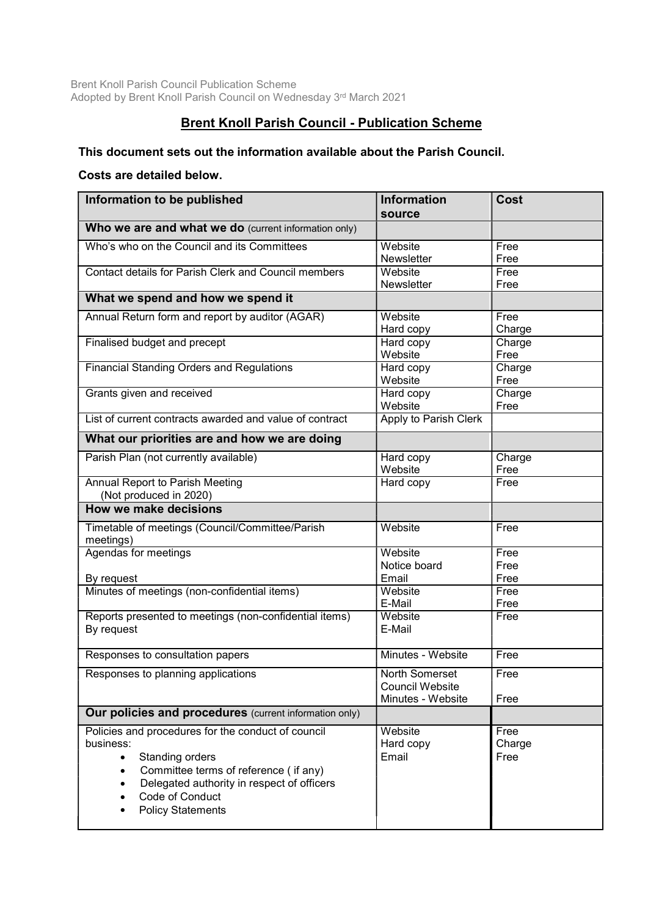Brent Knoll Parish Council Publication Scheme Adopted by Brent Knoll Parish Council on Wednesday 3rd March 2021

## Brent Knoll Parish Council - Publication Scheme

## This document sets out the information available about the Parish Council.

## Costs are detailed below.

| Information to be published                                                                                                                                                                                                                        | <b>Information</b><br>source                                         | Cost                   |
|----------------------------------------------------------------------------------------------------------------------------------------------------------------------------------------------------------------------------------------------------|----------------------------------------------------------------------|------------------------|
| Who we are and what we do (current information only)                                                                                                                                                                                               |                                                                      |                        |
| Who's who on the Council and its Committees                                                                                                                                                                                                        | Website<br><b>Newsletter</b>                                         | Free<br>Free           |
| Contact details for Parish Clerk and Council members                                                                                                                                                                                               | Website<br>Newsletter                                                | Free<br>Free           |
| What we spend and how we spend it                                                                                                                                                                                                                  |                                                                      |                        |
| Annual Return form and report by auditor (AGAR)                                                                                                                                                                                                    | Website<br>Hard copy                                                 | Free<br>Charge         |
| Finalised budget and precept                                                                                                                                                                                                                       | Hard copy<br>Website                                                 | Charge<br>Free         |
| <b>Financial Standing Orders and Regulations</b>                                                                                                                                                                                                   | Hard copy<br>Website                                                 | Charge<br>Free         |
| Grants given and received                                                                                                                                                                                                                          | Hard copy<br>Website                                                 | Charge<br>Free         |
| List of current contracts awarded and value of contract                                                                                                                                                                                            | <b>Apply to Parish Clerk</b>                                         |                        |
| What our priorities are and how we are doing                                                                                                                                                                                                       |                                                                      |                        |
| Parish Plan (not currently available)                                                                                                                                                                                                              | Hard copy<br>Website                                                 | Charge<br>Free         |
| Annual Report to Parish Meeting<br>(Not produced in 2020)                                                                                                                                                                                          | Hard copy                                                            | Free                   |
| <b>How we make decisions</b>                                                                                                                                                                                                                       |                                                                      |                        |
| Timetable of meetings (Council/Committee/Parish<br>meetings)                                                                                                                                                                                       | Website                                                              | Free                   |
| Agendas for meetings                                                                                                                                                                                                                               | Website<br>Notice board                                              | Free<br>Free           |
| By request<br>Minutes of meetings (non-confidential items)                                                                                                                                                                                         | Email<br>Website                                                     | Free<br>Free           |
|                                                                                                                                                                                                                                                    | E-Mail                                                               | Free                   |
| Reports presented to meetings (non-confidential items)<br>By request                                                                                                                                                                               | Website<br>E-Mail                                                    | Free                   |
| Responses to consultation papers                                                                                                                                                                                                                   | Minutes - Website                                                    | Free                   |
| Responses to planning applications                                                                                                                                                                                                                 | <b>North Somerset</b><br><b>Council Website</b><br>Minutes - Website | Free<br>Free           |
| Our policies and procedures (current information only)                                                                                                                                                                                             |                                                                      |                        |
| Policies and procedures for the conduct of council<br>business:<br>Standing orders<br>$\bullet$<br>Committee terms of reference (if any)<br>$\bullet$<br>Delegated authority in respect of officers<br>Code of Conduct<br><b>Policy Statements</b> | Website<br>Hard copy<br>Email                                        | Free<br>Charge<br>Free |